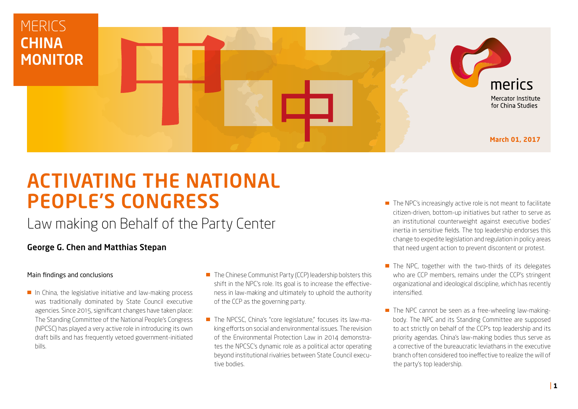

# ACTIVATING THE NATIONAL PEOPLE'S CONGRESS

# Law making on Behalf of the Party Center

#### George G. Chen and Matthias Stepan

#### Main findings and conclusions

- In China, the legislative initiative and law-making process was traditionally dominated by State Council executive agencies. Since 2015, significant changes have taken place: The Standing Committee of the National People's Congress (NPCSC) has played a very active role in introducing its own draft bills and has frequently vetoed government-initiated bills.
- The Chinese Communist Party (CCP) leadership bolsters this shift in the NPC's role. Its goal is to increase the effectiveness in law-making and ultimately to uphold the authority of the CCP as the governing party.
- The NPCSC, China's "core legislature," focuses its law-making efforts on social and environmental issues. The revision of the Environmental Protection Law in 2014 demonstrates the NPCSC's dynamic role as a political actor operating beyond institutional rivalries between State Council executive bodies.
- $\blacksquare$  The NPC's increasingly active role is not meant to facilitate citizen-driven, bottom-up initiatives but rather to serve as an institutional counterweight against executive bodies' inertia in sensitive fields. The top leadership endorses this change to expedite legislation and regulation in policy areas that need urgent action to prevent discontent or protest.
- $\blacksquare$  The NPC, together with the two-thirds of its delegates who are CCP members, remains under the CCP's stringent organizational and ideological discipline, which has recently intensified.
- $\blacksquare$  The NPC cannot be seen as a free-wheeling law-makingbody. The NPC and its Standing Committee are supposed to act strictly on behalf of the CCP's top leadership and its priority agendas. China's law-making bodies thus serve as a corrective of the bureaucratic leviathans in the executive branch often considered too ineffective to realize the will of the party's top leadership.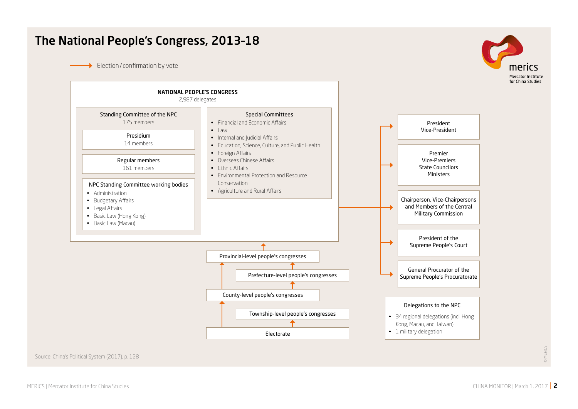## The National People's Congress, 2013–18

Election / confirmation by vote





Source: [China's Political System \(2017\)](https://www.merics.org/en/about-us/merics-analysis/chinas-political-system/), p. 128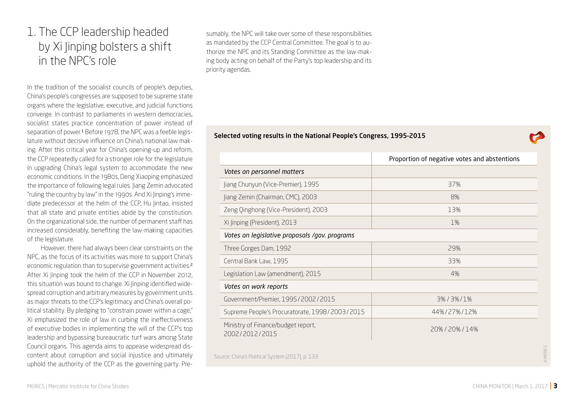# 1. The CCP leadership headed by Xi Jinping bolsters a shift in the NPC's role

In the tradition of the socialist councils of people's deputies, China's people's congresses are supposed to be supreme state organs where the legislative, executive, and judicial functions converge. In contrast to parliaments in western democracies, socialist states practice concentration of power instead of separation of power.<sup>1</sup> Before 1978, the NPC was a feeble legislature without decisive influence on China's national law making. After this critical year for China's opening-up and reform, the CCP repeatedly called for a stronger role for the legislature in upgrading China's legal system to accommodate the new economic conditions. In the 1980s, Deng Xiaoping emphasized the importance of following legal rules. Jiang Zemin advocated "ruling the country by law" in the 1990s. And Xi Jinping's immediate predecessor at the helm of the CCP, Hu Jintao, insisted that all state and private entities abide by the constitution. On the organizational side, the number of permanent staff has increased considerably, benefiting the law-making capacities of the legislature.

However, there had always been clear constraints on the NPC, as the focus of its activities was more to support China's economic regulation than to supervise government activities.<sup>2</sup> After Xi linping took the helm of the CCP in November 2012, this situation was bound to change. Xi Jinping identified widespread corruption and arbitrary measures by government units as major threats to the CCP's legitimacy and China's overall political stability. By pledging to "constrain power within a cage," Xi emphasized the role of law in curbing the ineffectiveness of executive bodies in implementing the will of the CCP's top leadership and bypassing bureaucratic turf wars among State Council organs. This agenda aims to appease widespread discontent about corruption and social injustice and ultimately uphold the authority of the CCP as the governing party. Presumably, the NPC will take over some of these responsibilities as mandated by the CCP Central Committee. The goal is to authorize the NPC and its Standing Committee as the law-making body acting on behalf of the Party's top leadership and its priority agendas.

#### Selected voting results in the National People's Congress, 1995–2015

|                                                      | Proportion of negative votes and abstentions |  |  |
|------------------------------------------------------|----------------------------------------------|--|--|
| Votes on personnel matters                           |                                              |  |  |
| Jiang Chunyun (Vice-Premier), 1995                   | 37%                                          |  |  |
| Jiang Zemin (Chairman, CMC), 2003                    | 8%                                           |  |  |
| Zeng Qinghong (Vice-President), 2003                 | 13%                                          |  |  |
| Xi Jinping (President), 2013                         | 1%                                           |  |  |
| Votes on legislative proposals /gov. programs        |                                              |  |  |
| Three Gorges Dam, 1992                               | 29%                                          |  |  |
| Central Bank Law, 1995                               | 33%                                          |  |  |
| Legislation Law (amendment), 2015                    | 4%                                           |  |  |
| Votes on work reports                                |                                              |  |  |
| Government/Premier, 1995/2002/2015                   | 3%/3%/1%                                     |  |  |
| Supreme People's Procuratorate, 1998 / 2003 / 2015   | 44%/27%/12%                                  |  |  |
| Ministry of Finance/budget report,<br>2002/2012/2015 | 20%/20%/14%                                  |  |  |
| Source: China's Political System (2017), p. 133      |                                              |  |  |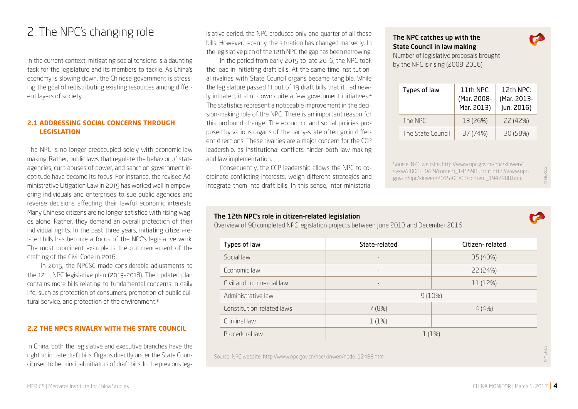# 2. The NPC's changing role

In the current context, mitigating social tensions is a daunting task for the legislature and its members to tackle. As China's economy is slowing down, the Chinese government is stressing the goal of redistributing existing resources among different layers of society.

#### **2.1 ADDRESSING SOCIAL CONCERNS THROUGH LEGISLATION**

The NPC is no longer preoccupied solely with economic law making. Rather, public laws that regulate the behavior of state agencies, curb abuses of power, and sanction government ineptitude have become its focus. For instance, the revised Administrative Litigation Law in 2015 has worked well in empowering individuals and enterprises to sue public agencies and reverse decisions affecting their lawful economic interests. Many Chinese citizens are no longer satisfied with rising wages alone. Rather, they demand an overall protection of their individual rights. In the past three years, initiating citizen-related bills has become a focus of the NPC's legislative work. The most prominent example is the commencement of the drafting of the Civil Code in 2016.

In 2015, the NPCSC made considerable adjustments to the 12th NPC legislative plan (2013-2018). The updated plan contains more bills relating to fundamental concerns in daily life, such as protection of consumers, promotion of public cultural service, and protection of the environment.<sup>3</sup>

#### **2.2 THE NPC'S RIVALRY WITH THE STATE COUNCIL**

In China, both the legislative and executive branches have the right to initiate draft bills. Organs directly under the State Council used to be principal initiators of draft bills. In the previous legislative period, the NPC produced only one-quarter of all these bills. However, recently the situation has changed markedly. In the legislative plan of the 12th NPC the gap has been narrowing.

In the period from early 2015 to late 2016, the NPC took the lead in initiating draft bills. At the same time institutional rivalries with State Council organs became tangible. While the legislature passed 11 out of 13 draft bills that it had newly initiated, it shot down quite a few government initiatives.<sup>4</sup> The statistics represent a noticeable improvement in the decision-making role of the NPC. There is an important reason for this profound change. The economic and social policies proposed by various organs of the party-state often go in different directions. These rivalries are a major concern for the CCP leadership, as institutional conflicts hinder both law making and law implementation.

Consequently, the CCP leadership allows the NPC to coordinate conflicting interests, weigh different strategies and integrate them into draft bills. In this sense, inter-ministerial

#### The NPC catches up with the State Council in law making

Number of legislative proposals brought by the NPC is rising (2008-2016)

| Types of law      | 11th NPC:<br>(Mar. 2008-<br>Mar. 2013) | 12th NP $C$ :<br>(Mar. 2013-<br>Jun. 2016) |
|-------------------|----------------------------------------|--------------------------------------------|
| The NPC           | 13 (26%)                               | 22 (42%)                                   |
| The State Council | 37 (74%)                               | 30 (58%)                                   |

Source: NPC website, http://www.npc.gov.cn/npc/xinwen/ syxw/2008-10/29/content\_1455985.htm; http://www.npc. gov.cn/npc/xinwen/2015-08/03/content\_1942908.htm.

#### The 12th NPC's role in citizen-related legislation

Overview of 90 completed NPC legislation projects between June 2013 and December 2016

| Types of law              | State-related            | Citizen-related |  |  |
|---------------------------|--------------------------|-----------------|--|--|
| Social law                | $\qquad \qquad =$        | 35 (40%)        |  |  |
| Economic law              | $\overline{\phantom{a}}$ | 22 (24%)        |  |  |
| Civil and commercial law  | $\qquad \qquad =$        | 11 (12%)        |  |  |
| Administrative law        | 9(10%)                   |                 |  |  |
| Constitution-related laws | 7(8%)                    | 4(4%)           |  |  |
| Criminal law              | 1(1%)                    |                 |  |  |
| Procedural law            | 1(1%)                    |                 |  |  |

Source: NPC website: http://www.npc.gov.cn/npc/xinwen/node\_12488.htm.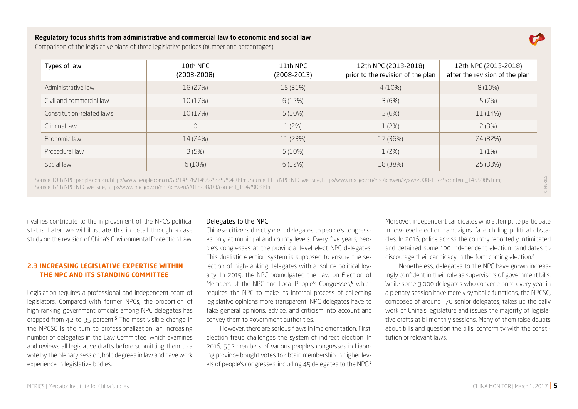#### Regulatory focus shifts from administrative and commercial law to economic and social law



© MERICS

Comparison of the legislative plans of three legislative periods (number and percentages)

| Types of law              | 10th NPC<br>$(2003 - 2008)$ | 11th NPC<br>$(2008-2013)$ | 12th NPC (2013-2018)<br>prior to the revision of the plan | 12th NPC (2013-2018)<br>after the revision of the plan |
|---------------------------|-----------------------------|---------------------------|-----------------------------------------------------------|--------------------------------------------------------|
| Administrative law        | 16 (27%)                    | 15 (31%)                  | 4(10%)                                                    | 8(10%)                                                 |
| Civil and commercial law  | 10 (17%)                    | 6 (12%)                   | 3(6%)                                                     | 5(7%)                                                  |
| Constitution-related laws | 10 (17%)                    | 5(10%)                    | 3(6%)                                                     | 11 (14%)                                               |
| Criminal law              | $\cup$                      | 1(2%)                     | 1(2%)                                                     | 2(3%)                                                  |
| Economic law              | 14 (24%)                    | 11 (23%)                  | 17 (36%)                                                  | 24 (32%)                                               |
| Procedural law            | 3(5%)                       | 5(10%)                    | 1(2%)                                                     | 1(1%)                                                  |
| Social law                | 6(10%)                      | 6(12%)                    | 18 (38%)                                                  | 25 (33%)                                               |

Source 10th NPC: people.com.cn, http://www.people.com.cn/GB/14576/14957/2252949.html, Source 11th NPC: NPC website, http://www.npc.gov.cn/npc/xinwen/syxw/2008-10/29/content\_1455985.htm; Source 12th NPC: NPC website, http://www.npc.gov.cn/npc/xinwen/2015-08/03/content\_1942908.htm.

rivalries contribute to the improvement of the NPC's political status. Later, we will illustrate this in detail through a case study on the revision of China's Environmental Protection Law.

#### **2.3 INCREASING LEGISLATIVE EXPERTISE WITHIN THE NPC AND ITS STANDING COMMITTEE**

Legislation requires a professional and independent team of legislators. Compared with former NPCs, the proportion of high-ranking government officials among NPC delegates has dropped from 42 to 35 percent.<sup>5</sup> The most visible change in the NPCSC is the turn to professionalization: an increasing number of delegates in the Law Committee, which examines and reviews all legislative drafts before submitting them to a vote by the plenary session, hold degrees in law and have work experience in legislative bodies.

#### Delegates to the NPC

Chinese citizens directly elect delegates to people's congresses only at municipal and county levels. Every five years, people's congresses at the provincial level elect NPC delegates. This dualistic election system is supposed to ensure the selection of high-ranking delegates with absolute political loyalty. In 2015, the NPC promulgated the Law on Election of Members of the NPC and Local People's Congresses,<sup>6</sup> which requires the NPC to make its internal process of collecting legislative opinions more transparent: NPC delegates have to take general opinions, advice, and criticism into account and convey them to government authorities.

However, there are serious flaws in implementation. First, election fraud challenges the system of indirect election. In 2016, 532 members of various people's congresses in Liaoning province bought votes to obtain membership in higher levels of people's congresses, including 45 delegates to the NPC.<sup>7</sup>

Moreover, independent candidates who attempt to participate in low-level election campaigns face chilling political obstacles. In 2016, police across the country reportedly intimidated and detained some 100 independent election candidates to discourage their candidacy in the forthcoming election.<sup>8</sup>

Nonetheless, delegates to the NPC have grown increasingly confident in their role as supervisors of government bills. While some 3,000 delegates who convene once every year in a plenary session have merely symbolic functions, the NPCSC, composed of around 170 senior delegates, takes up the daily work of China's legislature and issues the majority of legislative drafts at bi-monthly sessions. Many of them raise doubts about bills and question the bills' conformity with the constitution or relevant laws.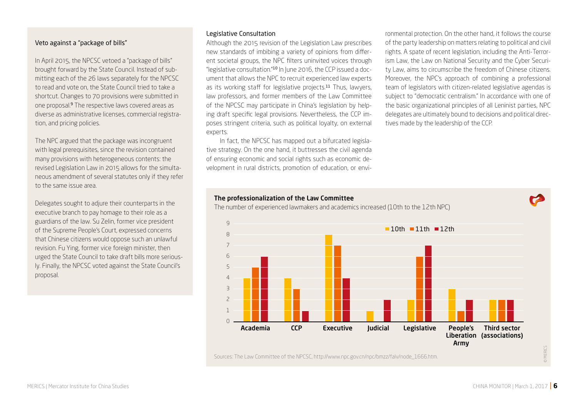#### Veto against a "package of bills"

In April 2015, the NPCSC vetoed a "package of bills" brought forward by the State Council. Instead of submitting each of the 26 laws separately for the NPCSC to read and vote on, the State Council tried to take a shortcut. Changes to 70 provisions were submitted in one proposal.9 The respective laws covered areas as diverse as administrative licenses, commercial registration, and pricing policies.

The NPC argued that the package was incongruent with legal prerequisites, since the revision contained many provisions with heterogeneous contents: the revised Legislation Law in 2015 allows for the simultaneous amendment of several statutes only if they refer to the same issue area.

Delegates sought to adjure their counterparts in the executive branch to pay homage to their role as a guardians of the law. Su Zelin, former vice president of the Supreme People's Court, expressed concerns that Chinese citizens would oppose such an unlawful revision. Fu Ying, former vice foreign minister, then urged the State Council to take draft bills more seriously. Finally, the NPCSC voted against the State Council's proposal.

#### Legislative Consultation

Although the 2015 revision of the Legislation Law prescribes new standards of imbibing a variety of opinions from different societal groups, the NPC filters uninvited voices through "legislative consultation."10 In June 2016, the CCP issued a document that allows the NPC to recruit experienced law experts as its working staff for legislative projects.<sup>11</sup> Thus, lawyers, law professors, and former members of the Law Committee of the NPCSC may participate in China's legislation by helping draft specific legal provisions. Nevertheless, the CCP imposes stringent criteria, such as political loyalty, on external experts.

In fact, the NPCSC has mapped out a bifurcated legislative strategy. On the one hand, it buttresses the civil agenda of ensuring economic and social rights such as economic development in rural districts, promotion of education, or environmental protection. On the other hand, it follows the course of the party leadership on matters relating to political and civil rights. A spate of recent legislation, including the Anti-Terrorism Law, the Law on National Security and the Cyber Security Law, aims to circumscribe the freedom of Chinese citizens. Moreover, the NPC's approach of combining a professional team of legislators with citizen-related legislative agendas is subject to "democratic centralism." In accordance with one of the basic organizational principles of all Leninist parties, NPC delegates are ultimately bound to decisions and political directives made by the leadership of the CCP.

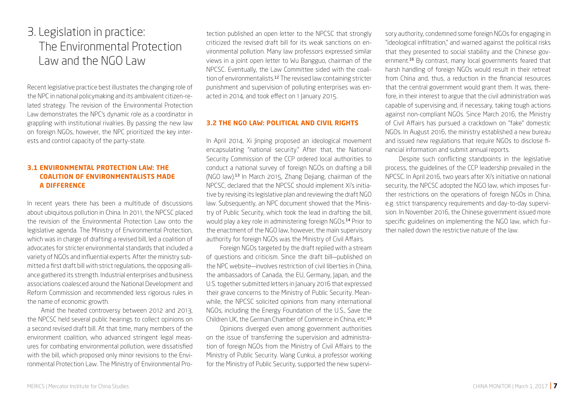## 3. Legislation in practice: The Environmental Protection Law and the NGO Law

Recent legislative practice best illustrates the changing role of the NPC in national policymaking and its ambivalent citizen-related strategy. The revision of the Environmental Protection Law demonstrates the NPC's dynamic role as a coordinator in grappling with institutional rivalries. By passing the new law on foreign NGOs, however, the NPC prioritized the key interests and control capacity of the party-state.

#### **3.1 ENVIRONMENTAL PROTECTION LAW: THE COALITION OF ENVIRONMENTALISTS MADE A DIFFERENCE**

In recent years there has been a multitude of discussions about ubiquitous pollution in China. In 2011, the NPCSC placed the revision of the Environmental Protection Law onto the legislative agenda. The Ministry of Environmental Protection, which was in charge of drafting a revised bill, led a coalition of advocates for stricter environmental standards that included a variety of NGOs and influential experts. After the ministry submitted a first draft bill with strict regulations, the opposing alliance gathered its strength. Industrial enterprises and business associations coalesced around the National Development and Reform Commission and recommended less rigorous rules in the name of economic growth.

Amid the heated controversy between 2012 and 2013, the NPCSC held several public hearings to collect opinions on a second revised draft bill. At that time, many members of the environment coalition, who advanced stringent legal measures for combating environmental pollution, were dissatisfied with the bill, which proposed only minor revisions to the Environmental Protection Law. The Ministry of Environmental Pro-

tection published an open letter to the NPCSC that strongly criticized the revised draft bill for its weak sanctions on environmental pollution. Many law professors expressed similar views in a joint open letter to Wu Bangguo, chairman of the NPCSC. Eventually, the Law Committee sided with the coalition of environmentalists.12 The revised law containing stricter punishment and supervision of polluting enterprises was enacted in 2014, and took effect on 1 January 2015.

#### **3.2 THE NGO LAW: POLITICAL AND CIVIL RIGHTS**

In April 2014, Xi Jinping proposed an ideological movement encapsulating "national security." After that, the National Security Commission of the CCP ordered local authorities to conduct a national survey of foreign NGOs on drafting a bill (NGO law).13 In March 2015, Zhang Dejiang, chairman of the NPCSC, declared that the NPCSC should implement Xi's initiative by revising its legislative plan and reviewing the draft NGO law. Subsequently, an NPC document showed that the Ministry of Public Security, which took the lead in drafting the bill, would play a key role in administering foreign NGOs.14 Prior to the enactment of the NGO law, however, the main supervisory authority for foreign NGOs was the Ministry of Civil Affairs.

Foreign NGOs targeted by the draft replied with a stream of questions and criticism. Since the draft bill—published on the NPC website—involves restriction of civil liberties in China, the ambassadors of Canada, the EU, Germany, Japan, and the U.S. together submitted letters in January 2016 that expressed their grave concerns to the Ministry of Public Security. Meanwhile, the NPCSC solicited opinions from many international NGOs, including the Energy Foundation of the U.S., Save the Children UK, the German Chamber of Commerce in China, etc.<sup>15</sup>

Opinions diverged even among government authorities on the issue of transferring the supervision and administration of foreign NGOs from the Ministry of Civil Affairs to the Ministry of Public Security. Wang Cunkui, a professor working for the Ministry of Public Security, supported the new supervisory authority, condemned some foreign NGOs for engaging in "ideological infiltration," and warned against the political risks that they presented to social stability and the Chinese government.16 By contrast, many local governments feared that harsh handling of foreign NGOs would result in their retreat from China and, thus, a reduction in the financial resources that the central government would grant them. It was, therefore, in their interest to argue that the civil administration was capable of supervising and, if necessary, taking tough actions against non-compliant NGOs. Since March 2016, the Ministry of Civil Affairs has pursued a crackdown on "fake" domestic NGOs. In August 2016, the ministry established a new bureau and issued new regulations that require NGOs to disclose financial information and submit annual reports.

Despite such conflicting standpoints in the legislative process, the guidelines of the CCP leadership prevailed in the NPCSC. In April 2016, two years after Xi's initiative on national security, the NPCSC adopted the NGO law, which imposes further restrictions on the operations of foreign NGOs in China, e.g. strict transparency requirements and day-to-day supervision. In November 2016, the Chinese government issued more specific guidelines on implementing the NGO law, which further nailed down the restrictive nature of the law.